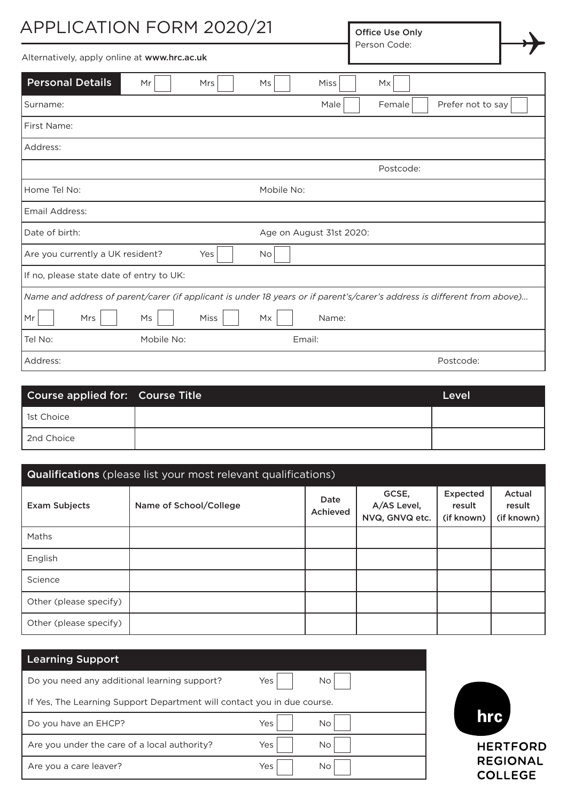| <b>APPLICATION FORM 2020/21</b>                                                                                          | Office Use Only<br>Person Code: |  |
|--------------------------------------------------------------------------------------------------------------------------|---------------------------------|--|
| Alternatively, apply online at www.hrc.ac.uk                                                                             |                                 |  |
| <b>Personal Details</b><br><b>Mrs</b><br><b>Miss</b><br>Mr<br><b>Ms</b>                                                  | Mx                              |  |
| Surname:<br>Male                                                                                                         | Prefer not to say<br>Female     |  |
| First Name:                                                                                                              |                                 |  |
| Address:                                                                                                                 |                                 |  |
|                                                                                                                          | Postcode:                       |  |
| Home Tel No:<br>Mobile No:                                                                                               |                                 |  |
| Email Address:                                                                                                           |                                 |  |
| Date of birth:<br>Age on August 31st 2020:                                                                               |                                 |  |
| Are you currently a UK resident?<br>Yes<br><b>No</b>                                                                     |                                 |  |
| If no, please state date of entry to UK:                                                                                 |                                 |  |
| Name and address of parent/carer (if applicant is under 18 years or if parent's/carer's address is different from above) |                                 |  |
| Mrs<br>Mr<br>Miss<br>Name:<br>Ms<br>Mx                                                                                   |                                 |  |
| Tel No:<br>Mobile No:<br>Email:                                                                                          |                                 |  |
| Address:                                                                                                                 | Postcode:                       |  |

| Course applied for: Course Title | Level |
|----------------------------------|-------|
| l 1st Choice                     |       |
| 2nd Choice                       |       |

| <b>Qualifications</b> (please list your most relevant qualifications) |                        |                  |                                        |                                  |                                |
|-----------------------------------------------------------------------|------------------------|------------------|----------------------------------------|----------------------------------|--------------------------------|
| <b>Exam Subjects</b>                                                  | Name of School/College | Date<br>Achieved | GCSE,<br>A/AS Level,<br>NVQ, GNVQ etc. | Expected<br>result<br>(if known) | Actual<br>result<br>(if known) |
| Maths                                                                 |                        |                  |                                        |                                  |                                |
| English                                                               |                        |                  |                                        |                                  |                                |
| Science                                                               |                        |                  |                                        |                                  |                                |
| Other (please specify)                                                |                        |                  |                                        |                                  |                                |
| Other (please specify)                                                |                        |                  |                                        |                                  |                                |

| <b>Learning Support</b>                                                 |            |  |
|-------------------------------------------------------------------------|------------|--|
| Do you need any additional learning support?                            | Yes<br>No. |  |
| If Yes, The Learning Support Department will contact you in due course. |            |  |
| Do you have an EHCP?                                                    | Yes<br>No. |  |
| Are you under the care of a local authority?                            | Yes<br>No. |  |
| Are you a care leaver?                                                  | Yes<br>No. |  |